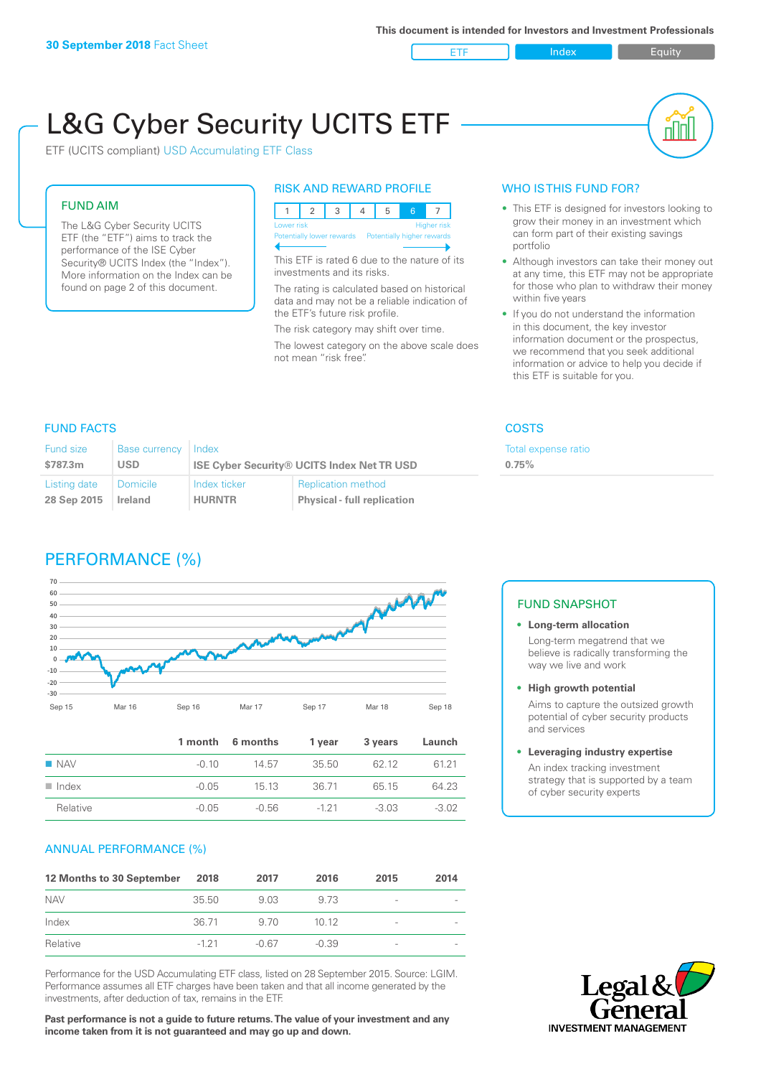ETF Index Buity

nl M

# L&G Cyber Security UCITS ETF

ETF (UCITS compliant) USD Accumulating ETF Class

#### FUND AIM

The L&G Cyber Security UCITS ETF (the "ETF") aims to track the performance of the ISE Cyber Security® UCITS Index (the "Index"). More information on the Index can be found on page 2 of this document.

#### RISK AND REWARD PROFILE

| Lower risk                                            |  |  |  | <b>Higher risk</b> |
|-------------------------------------------------------|--|--|--|--------------------|
| Potentially lower rewards  Potentially higher rewards |  |  |  |                    |

This ETF is rated 6 due to the nature of its investments and its risks.

The rating is calculated based on historical data and may not be a reliable indication of the ETF's future risk profile.

The risk category may shift over time. The lowest category on the above scale does not mean "risk free".

#### WHO IS THIS FUND FOR?

- This ETF is designed for investors looking to grow their money in an investment which can form part of their existing savings portfolio
- Although investors can take their money out at any time, this ETF may not be appropriate for those who plan to withdraw their money within five years
- If you do not understand the information in this document, the key investor information document or the prospectus, we recommend that you seek additional information or advice to help you decide if this ETF is suitable for you.

Total expense ratio

**0.75%**

### FUND FACTS COSTS

| Fund size    | <b>Base currency</b> | Index                                             |                                    |  |
|--------------|----------------------|---------------------------------------------------|------------------------------------|--|
| \$787.3m     | <b>USD</b>           | <b>ISE Cyber Security® UCITS Index Net TR USD</b> |                                    |  |
| Listing date | Domicile             | Index ticker                                      | <b>Replication method</b>          |  |
| 28 Sep 2015  | Ireland              | <b>HURNTR</b>                                     | <b>Physical - full replication</b> |  |

## PERFORMANCE (%)



|                      |         | 1 month 6 months | 1 vear | 3 years | Launch  |
|----------------------|---------|------------------|--------|---------|---------|
| $\blacksquare$ NAV   | $-0.10$ | 14.57            | 35.50  | 62 12   | 61 21   |
| $\blacksquare$ Index | $-0.05$ | 15 13            | 36.71  | 65 15   | 64 23   |
| Relative             | $-0.05$ | -0.56            | -1 2 1 | $-3.03$ | $-3.02$ |

#### ANNUAL PERFORMANCE (%)

| 12 Months to 30 September | 2018   | 2017    | 2016    | 2015                     | 2014 |
|---------------------------|--------|---------|---------|--------------------------|------|
| <b>NAV</b>                | 35.50  | 9.03    | 9.73    | $\overline{\phantom{a}}$ |      |
| Index                     | 36.71  | 9.70    | 1012    | -                        |      |
| Relative                  | $-121$ | $-0.67$ | $-0.39$ | $\overline{\phantom{a}}$ |      |

Performance for the USD Accumulating ETF class, listed on 28 September 2015. Source: LGIM. Performance assumes all ETF charges have been taken and that all income generated by the investments, after deduction of tax, remains in the ETF.

**Past performance is not a guide to future returns. The value of your investment and any income taken from it is not guaranteed and may go up and down.**

#### FUND SNAPSHOT

- **• Long-term allocation** Long-term megatrend that we believe is radically transforming the way we live and work
- **• High growth potential**

Aims to capture the outsized growth potential of cyber security products and services

#### **• Leveraging industry expertise**

An index tracking investment strategy that is supported by a team of cyber security experts

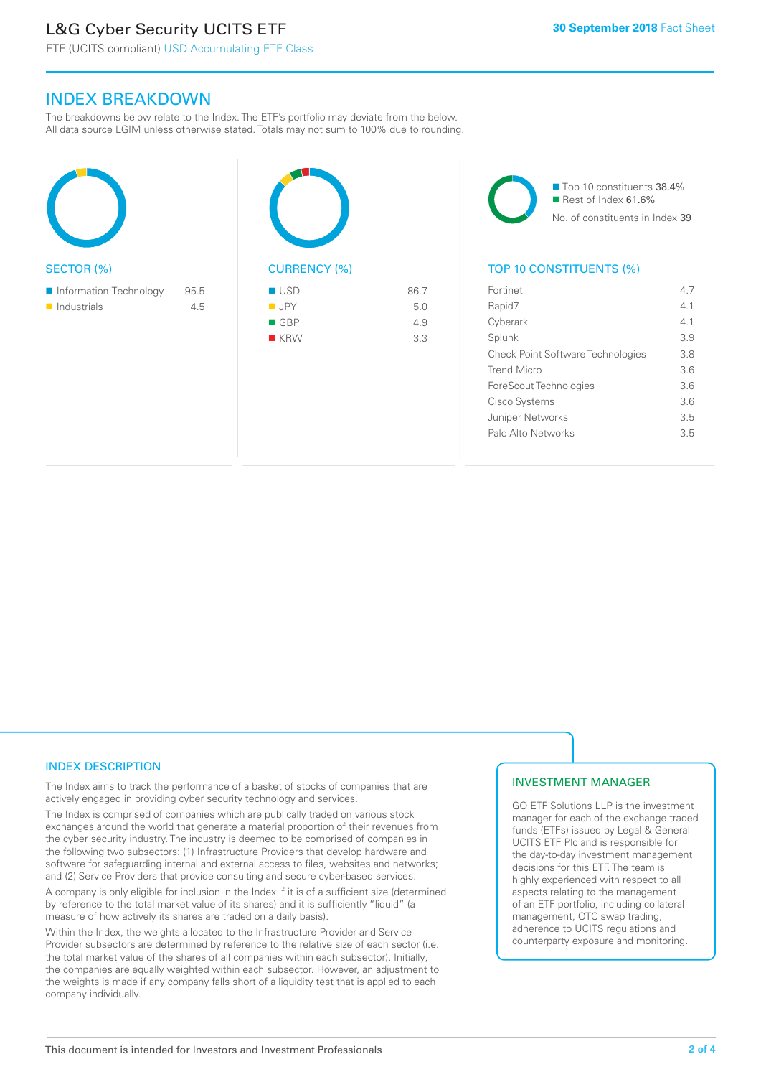# L&G Cyber Security UCITS ETF

ETF (UCITS compliant) USD Accumulating ETF Class

### INDEX BREAKDOWN

The breakdowns below relate to the Index. The ETF's portfolio may deviate from the below. All data source LGIM unless otherwise stated. Totals may not sum to 100% due to rounding.





 $R$  KRW 3.3



■ Top 10 constituents 38.4% Rest of Index 61.6%

No. of constituents in Index 39

#### TOP 10 CONSTITUENTS (%)

| Fortinet                                 | 47  |
|------------------------------------------|-----|
| Rapid7                                   | 41  |
| Cyberark                                 | 41  |
| Splunk                                   | 3.9 |
| <b>Check Point Software Technologies</b> | 3.8 |
| Trend Micro                              | 36  |
| ForeScout Technologies                   | 3.6 |
| Cisco Systems                            | 36  |
| Juniper Networks                         | 3.5 |
| Palo Alto Networks                       | 35  |
|                                          |     |

#### INDEX DESCRIPTION

The Index aims to track the performance of a basket of stocks of companies that are actively engaged in providing cyber security technology and services.

The Index is comprised of companies which are publically traded on various stock exchanges around the world that generate a material proportion of their revenues from the cyber security industry. The industry is deemed to be comprised of companies in the following two subsectors: (1) Infrastructure Providers that develop hardware and software for safeguarding internal and external access to files, websites and networks; and (2) Service Providers that provide consulting and secure cyber-based services.

A company is only eligible for inclusion in the Index if it is of a sufficient size (determined by reference to the total market value of its shares) and it is sufficiently "liquid" (a measure of how actively its shares are traded on a daily basis).

Within the Index, the weights allocated to the Infrastructure Provider and Service Provider subsectors are determined by reference to the relative size of each sector (i.e. the total market value of the shares of all companies within each subsector). Initially, the companies are equally weighted within each subsector. However, an adjustment to the weights is made if any company falls short of a liquidity test that is applied to each company individually.

#### INVESTMENT MANAGER

GO ETF Solutions LLP is the investment manager for each of the exchange traded funds (ETFs) issued by Legal & General UCITS ETF Plc and is responsible for the day-to-day investment management decisions for this ETF. The team is highly experienced with respect to all aspects relating to the management of an ETF portfolio, including collateral management, OTC swap trading, adherence to UCITS regulations and counterparty exposure and monitoring.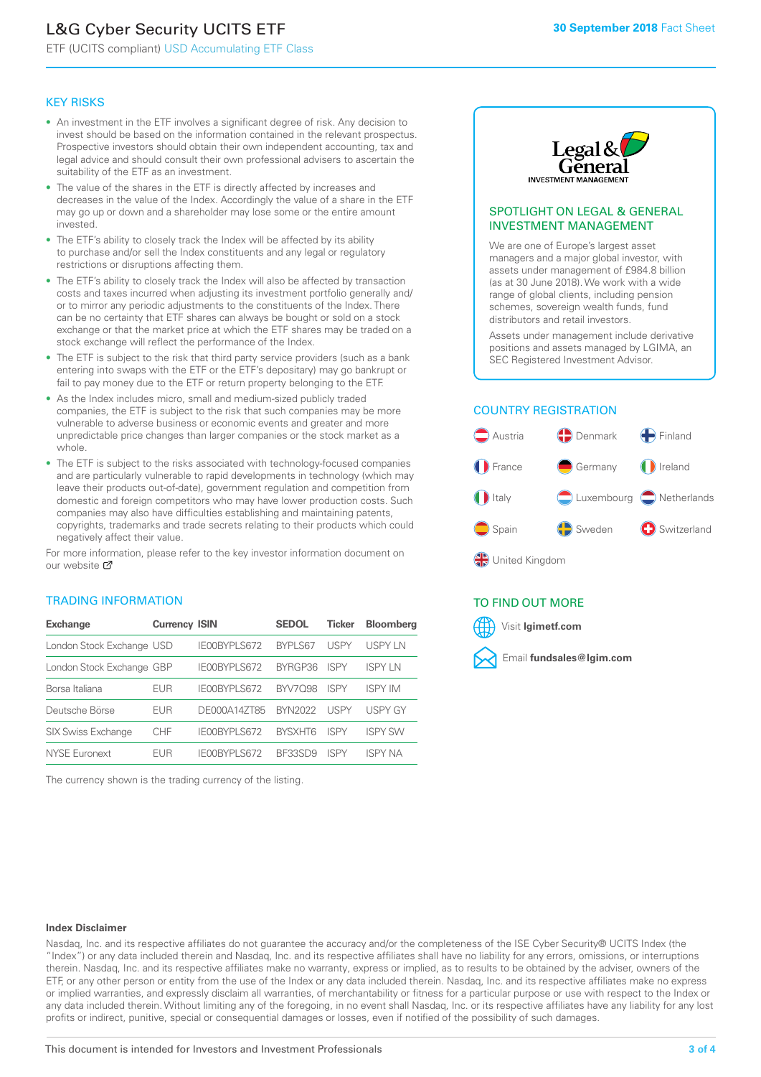# L&G Cyber Security UCITS ETF

ETF (UCITS compliant) USD Accumulating ETF Class

#### KEY RISKS

- An investment in the ETF involves a significant degree of risk. Any decision to invest should be based on the information contained in the relevant prospectus. Prospective investors should obtain their own independent accounting, tax and legal advice and should consult their own professional advisers to ascertain the suitability of the ETF as an investment.
- The value of the shares in the ETF is directly affected by increases and decreases in the value of the Index. Accordingly the value of a share in the ETF may go up or down and a shareholder may lose some or the entire amount invested.
- The ETF's ability to closely track the Index will be affected by its ability to purchase and/or sell the Index constituents and any legal or regulatory restrictions or disruptions affecting them.
- The ETF's ability to closely track the Index will also be affected by transaction costs and taxes incurred when adjusting its investment portfolio generally and/ or to mirror any periodic adjustments to the constituents of the Index. There can be no certainty that ETF shares can always be bought or sold on a stock exchange or that the market price at which the ETF shares may be traded on a stock exchange will reflect the performance of the Index.
- The ETF is subject to the risk that third party service providers (such as a bank entering into swaps with the ETF or the ETF's depositary) may go bankrupt or fail to pay money due to the ETF or return property belonging to the ETF.
- As the Index includes micro, small and medium-sized publicly traded companies, the ETF is subject to the risk that such companies may be more vulnerable to adverse business or economic events and greater and more unpredictable price changes than larger companies or the stock market as a whole.
- The ETF is subject to the risks associated with technology-focused companies and are particularly vulnerable to rapid developments in technology (which may leave their products out-of-date), government regulation and competition from domestic and foreign competitors who may have lower production costs. Such companies may also have difficulties establishing and maintaining patents, copyrights, trademarks and trade secrets relating to their products which could negatively affect their value.

For more in[form](https://www.lgimetf.com/)ation, please refer to the key investor information document on our website M

#### TRADING INFORMATION

| <b>Exchange</b>           | <b>Currency ISIN</b> |                     | <b>SEDOL</b>   | <b>Ticker</b> | <b>Bloomberg</b> |
|---------------------------|----------------------|---------------------|----------------|---------------|------------------|
| London Stock Exchange USD |                      | IE00BYPLS672        | BYPLS67        | <b>USPY</b>   | USPY IN          |
| London Stock Exchange GBP |                      | IE00BYPLS672        | BYRGP36        | <b>ISPY</b>   | <b>ISPY IN</b>   |
| Borsa Italiana            | EUR                  | <b>IFOORYPLS672</b> | <b>BYV7098</b> | <b>ISPY</b>   | <b>ISPY IM</b>   |
| Deutsche Börse            | EUR                  | DE000A14ZT85        | <b>BYN2022</b> | <b>USPY</b>   | <b>USPY GY</b>   |
| <b>SIX Swiss Exchange</b> | <b>CHF</b>           | IE00BYPLS672        | <b>RYSXHT6</b> | <b>ISPY</b>   | <b>ISPY SW</b>   |
| NYSE Euronext             | FUR                  | IF00BYPLS672        | BE33SD9        | ISPY          | ISPY NA          |

The currency shown is the trading currency of the listing.



#### SPOTLIGHT ON LEGAL & GENERAL INVESTMENT MANAGEMENT

We are one of Europe's largest asset managers and a major global investor, with assets under management of £984.8 billion (as at 30 June 2018). We work with a wide range of global clients, including pension schemes, sovereign wealth funds, fund distributors and retail investors.

Assets under management include derivative positions and assets managed by LGIMA, an SEC Registered Investment Advisor.

#### COUNTRY REGISTRATION



#### TO FIND OUT MORE

Visit **lgimetf.com**



#### **Index Disclaimer**

Nasdaq, Inc. and its respective affiliates do not guarantee the accuracy and/or the completeness of the ISE Cyber Security® UCITS Index (the "Index") or any data included therein and Nasdaq, Inc. and its respective affiliates shall have no liability for any errors, omissions, or interruptions therein. Nasdaq, Inc. and its respective affiliates make no warranty, express or implied, as to results to be obtained by the adviser, owners of the ETF, or any other person or entity from the use of the Index or any data included therein. Nasdaq, Inc. and its respective affiliates make no express or implied warranties, and expressly disclaim all warranties, of merchantability or fitness for a particular purpose or use with respect to the Index or any data included therein. Without limiting any of the foregoing, in no event shall Nasdaq, Inc. or its respective affiliates have any liability for any lost profits or indirect, punitive, special or consequential damages or losses, even if notified of the possibility of such damages.